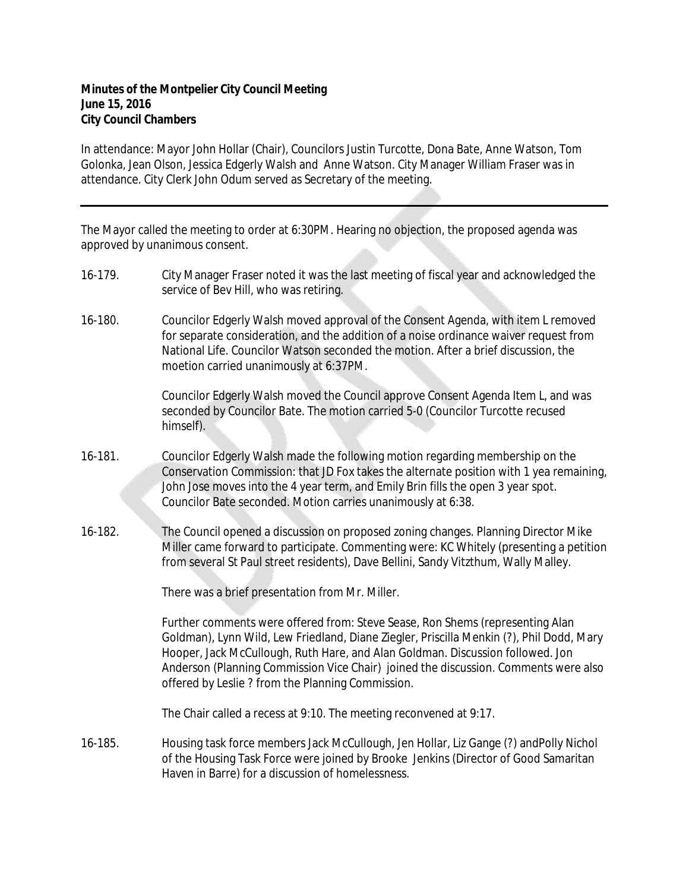## **Minutes of the Montpelier City Council Meeting June 15, 2016 City Council Chambers**

In attendance: Mayor John Hollar (Chair), Councilors Justin Turcotte, Dona Bate, Anne Watson, Tom Golonka, Jean Olson, Jessica Edgerly Walsh and Anne Watson. City Manager William Fraser was in attendance. City Clerk John Odum served as Secretary of the meeting.

The Mayor called the meeting to order at 6:30PM. Hearing no objection, the proposed agenda was approved by unanimous consent.

- 16-179. City Manager Fraser noted it was the last meeting of fiscal year and acknowledged the service of Bev Hill, who was retiring.
- 16-180. Councilor Edgerly Walsh moved approval of the Consent Agenda, with item L removed for separate consideration, and the addition of a noise ordinance waiver request from National Life. Councilor Watson seconded the motion. After a brief discussion, the moetion carried unanimously at 6:37PM.

Councilor Edgerly Walsh moved the Council approve Consent Agenda Item L, and was seconded by Councilor Bate. The motion carried 5-0 (Councilor Turcotte recused himself).

- 16-181. Councilor Edgerly Walsh made the following motion regarding membership on the Conservation Commission: that JD Fox takes the alternate position with 1 yea remaining, John Jose moves into the 4 year term, and Emily Brin fills the open 3 year spot. Councilor Bate seconded. Motion carries unanimously at 6:38.
- 16-182. The Council opened a discussion on proposed zoning changes. Planning Director Mike Miller came forward to participate. Commenting were: KC Whitely (presenting a petition from several St Paul street residents), Dave Bellini, Sandy Vitzthum, Wally Malley.

There was a brief presentation from Mr. Miller.

Further comments were offered from: Steve Sease, Ron Shems (representing Alan Goldman), Lynn Wild, Lew Friedland, Diane Ziegler, Priscilla Menkin (?), Phil Dodd, Mary Hooper, Jack McCullough, Ruth Hare, and Alan Goldman. Discussion followed. Jon Anderson (Planning Commission Vice Chair) joined the discussion. Comments were also offered by Leslie ? from the Planning Commission.

The Chair called a recess at 9:10. The meeting reconvened at 9:17.

16-185. Housing task force members Jack McCullough, Jen Hollar, Liz Gange (?) andPolly Nichol of the Housing Task Force were joined by Brooke Jenkins (Director of Good Samaritan Haven in Barre) for a discussion of homelessness.